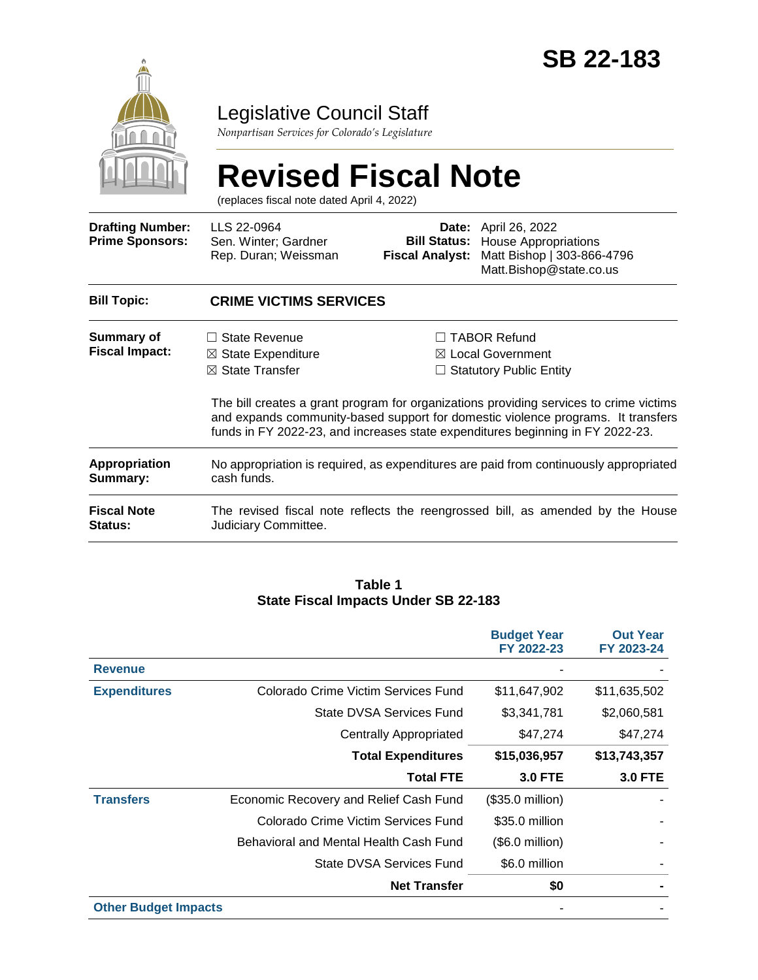

### Legislative Council Staff

*Nonpartisan Services for Colorado's Legislature*

# **Revised Fiscal Note**

(replaces fiscal note dated April 4, 2022)

| <b>Drafting Number:</b><br><b>Prime Sponsors:</b> | LLS 22-0964<br>Sen. Winter; Gardner<br>Rep. Duran; Weissman                                                                                                        | <b>Bill Status:</b><br><b>Fiscal Analyst:</b> | <b>Date:</b> April 26, 2022<br><b>House Appropriations</b><br>Matt Bishop   303-866-4796<br>Matt.Bishop@state.co.us                                                             |  |
|---------------------------------------------------|--------------------------------------------------------------------------------------------------------------------------------------------------------------------|-----------------------------------------------|---------------------------------------------------------------------------------------------------------------------------------------------------------------------------------|--|
| <b>Bill Topic:</b>                                | <b>CRIME VICTIMS SERVICES</b>                                                                                                                                      |                                               |                                                                                                                                                                                 |  |
| Summary of<br><b>Fiscal Impact:</b>               | $\Box$ State Revenue<br>$\boxtimes$ State Expenditure<br>$\boxtimes$ State Transfer                                                                                |                                               | $\Box$ TABOR Refund<br>$\boxtimes$ Local Government<br>$\Box$ Statutory Public Entity<br>The bill creates a grant program for organizations providing services to crime victims |  |
|                                                   | and expands community-based support for domestic violence programs. It transfers<br>funds in FY 2022-23, and increases state expenditures beginning in FY 2022-23. |                                               |                                                                                                                                                                                 |  |
| Appropriation<br>Summary:                         | No appropriation is required, as expenditures are paid from continuously appropriated<br>cash funds.                                                               |                                               |                                                                                                                                                                                 |  |
| <b>Fiscal Note</b><br><b>Status:</b>              | Judiciary Committee.                                                                                                                                               |                                               | The revised fiscal note reflects the reengrossed bill, as amended by the House                                                                                                  |  |

#### **Table 1 State Fiscal Impacts Under SB 22-183**

|                             |                                        | <b>Budget Year</b><br>FY 2022-23 | <b>Out Year</b><br>FY 2023-24 |
|-----------------------------|----------------------------------------|----------------------------------|-------------------------------|
| <b>Revenue</b>              |                                        |                                  |                               |
| <b>Expenditures</b>         | Colorado Crime Victim Services Fund    | \$11,647,902                     | \$11,635,502                  |
|                             | State DVSA Services Fund               | \$3,341,781                      | \$2,060,581                   |
|                             | <b>Centrally Appropriated</b>          | \$47,274                         | \$47,274                      |
|                             | <b>Total Expenditures</b>              | \$15,036,957                     | \$13,743,357                  |
|                             | <b>Total FTE</b>                       | <b>3.0 FTE</b>                   | <b>3.0 FTE</b>                |
| <b>Transfers</b>            | Economic Recovery and Relief Cash Fund | $($35.0 \text{ million})$        |                               |
|                             | Colorado Crime Victim Services Fund    | \$35.0 million                   |                               |
|                             | Behavioral and Mental Health Cash Fund | $($.0$ million)                  |                               |
|                             | State DVSA Services Fund               | \$6.0 million                    |                               |
|                             | <b>Net Transfer</b>                    | \$0                              |                               |
| <b>Other Budget Impacts</b> |                                        |                                  |                               |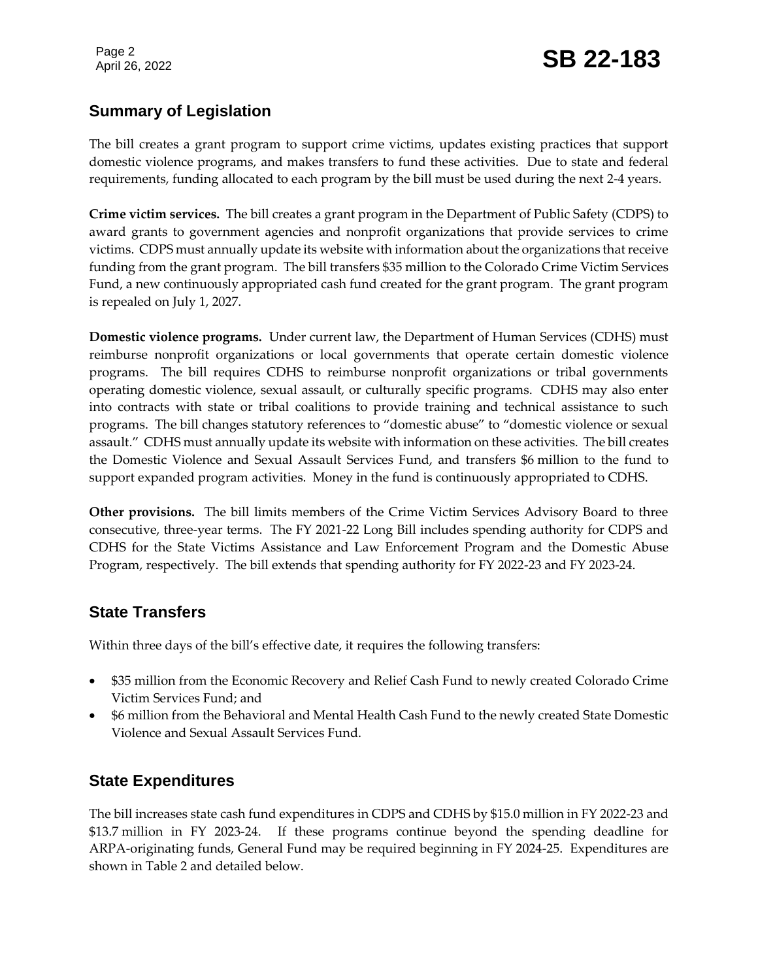#### **Summary of Legislation**

The bill creates a grant program to support crime victims, updates existing practices that support domestic violence programs, and makes transfers to fund these activities. Due to state and federal requirements, funding allocated to each program by the bill must be used during the next 2-4 years.

**Crime victim services.** The bill creates a grant program in the Department of Public Safety (CDPS) to award grants to government agencies and nonprofit organizations that provide services to crime victims. CDPS must annually update its website with information about the organizations that receive funding from the grant program. The bill transfers \$35 million to the Colorado Crime Victim Services Fund, a new continuously appropriated cash fund created for the grant program. The grant program is repealed on July 1, 2027.

**Domestic violence programs.** Under current law, the Department of Human Services (CDHS) must reimburse nonprofit organizations or local governments that operate certain domestic violence programs. The bill requires CDHS to reimburse nonprofit organizations or tribal governments operating domestic violence, sexual assault, or culturally specific programs. CDHS may also enter into contracts with state or tribal coalitions to provide training and technical assistance to such programs. The bill changes statutory references to "domestic abuse" to "domestic violence or sexual assault." CDHS must annually update its website with information on these activities. The bill creates the Domestic Violence and Sexual Assault Services Fund, and transfers \$6 million to the fund to support expanded program activities. Money in the fund is continuously appropriated to CDHS.

**Other provisions.** The bill limits members of the Crime Victim Services Advisory Board to three consecutive, three-year terms. The FY 2021-22 Long Bill includes spending authority for CDPS and CDHS for the State Victims Assistance and Law Enforcement Program and the Domestic Abuse Program, respectively. The bill extends that spending authority for FY 2022-23 and FY 2023-24.

#### **State Transfers**

Within three days of the bill's effective date, it requires the following transfers:

- \$35 million from the Economic Recovery and Relief Cash Fund to newly created Colorado Crime Victim Services Fund; and
- \$6 million from the Behavioral and Mental Health Cash Fund to the newly created State Domestic Violence and Sexual Assault Services Fund.

#### **State Expenditures**

The bill increases state cash fund expenditures in CDPS and CDHS by \$15.0 million in FY 2022-23 and \$13.7 million in FY 2023-24. If these programs continue beyond the spending deadline for ARPA-originating funds, General Fund may be required beginning in FY 2024-25. Expenditures are shown in Table 2 and detailed below.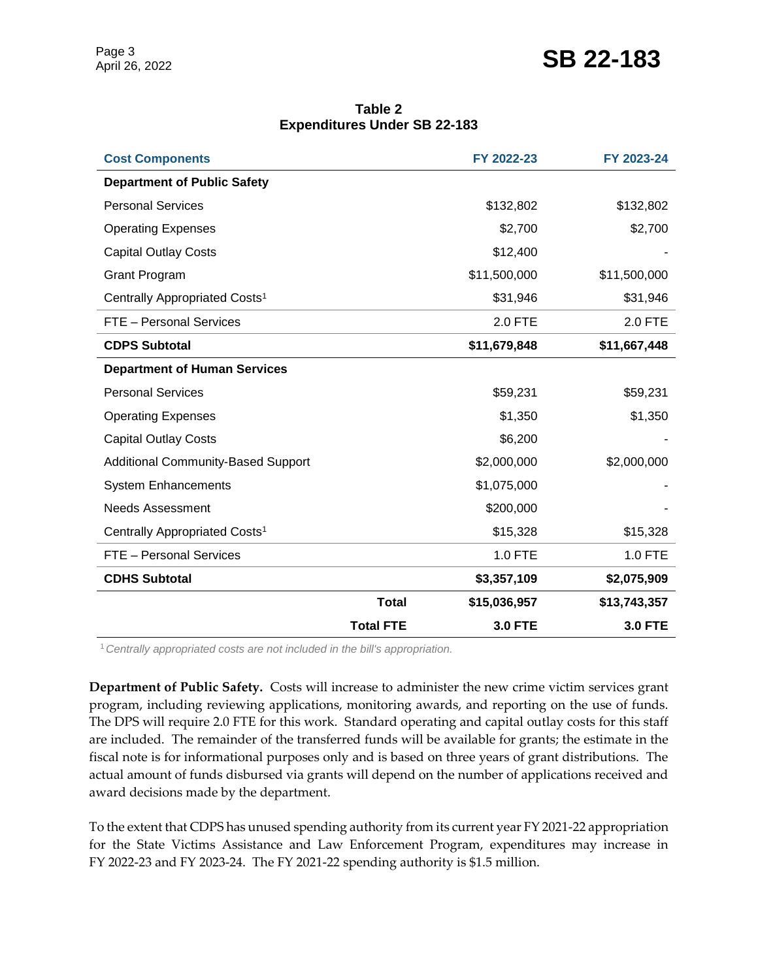## Page 3<br>April 26, 2022 **SB 22-183**

| Table 2                             |  |  |  |  |  |
|-------------------------------------|--|--|--|--|--|
| <b>Expenditures Under SB 22-183</b> |  |  |  |  |  |

| <b>Cost Components</b>                    |                  | FY 2022-23     | FY 2023-24     |
|-------------------------------------------|------------------|----------------|----------------|
| <b>Department of Public Safety</b>        |                  |                |                |
| <b>Personal Services</b>                  |                  | \$132,802      | \$132,802      |
| <b>Operating Expenses</b>                 |                  | \$2,700        | \$2,700        |
| <b>Capital Outlay Costs</b>               |                  | \$12,400       |                |
| <b>Grant Program</b>                      |                  | \$11,500,000   | \$11,500,000   |
| Centrally Appropriated Costs <sup>1</sup> |                  | \$31,946       | \$31,946       |
| FTE - Personal Services                   |                  | 2.0 FTE        | 2.0 FTE        |
| <b>CDPS Subtotal</b>                      |                  | \$11,679,848   | \$11,667,448   |
| <b>Department of Human Services</b>       |                  |                |                |
| <b>Personal Services</b>                  |                  | \$59,231       | \$59,231       |
| <b>Operating Expenses</b>                 |                  | \$1,350        | \$1,350        |
| <b>Capital Outlay Costs</b>               |                  | \$6,200        |                |
| <b>Additional Community-Based Support</b> |                  | \$2,000,000    | \$2,000,000    |
| <b>System Enhancements</b>                |                  | \$1,075,000    |                |
| <b>Needs Assessment</b>                   |                  | \$200,000      |                |
| Centrally Appropriated Costs <sup>1</sup> |                  | \$15,328       | \$15,328       |
| FTE - Personal Services                   |                  | 1.0 FTE        | 1.0 FTE        |
| <b>CDHS Subtotal</b>                      |                  | \$3,357,109    | \$2,075,909    |
|                                           | <b>Total</b>     | \$15,036,957   | \$13,743,357   |
|                                           | <b>Total FTE</b> | <b>3.0 FTE</b> | <b>3.0 FTE</b> |

<sup>1</sup>*Centrally appropriated costs are not included in the bill's appropriation.*

**Department of Public Safety.** Costs will increase to administer the new crime victim services grant program, including reviewing applications, monitoring awards, and reporting on the use of funds. The DPS will require 2.0 FTE for this work. Standard operating and capital outlay costs for this staff are included. The remainder of the transferred funds will be available for grants; the estimate in the fiscal note is for informational purposes only and is based on three years of grant distributions. The actual amount of funds disbursed via grants will depend on the number of applications received and award decisions made by the department.

To the extent that CDPS has unused spending authority from its current year FY 2021-22 appropriation for the State Victims Assistance and Law Enforcement Program, expenditures may increase in FY 2022-23 and FY 2023-24. The FY 2021-22 spending authority is \$1.5 million.